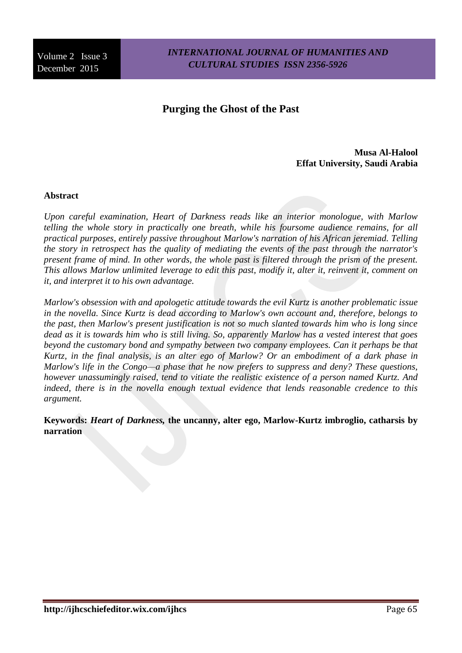*INTERNATIONAL JOURNAL OF HUMANITIES AND CULTURAL STUDIES ISSN 2356-5926*

# **Purging the Ghost of the Past**

**Musa Al-Halool Effat University, Saudi Arabia**

#### **Abstract**

*Upon careful examination, Heart of Darkness reads like an interior monologue, with Marlow telling the whole story in practically one breath, while his foursome audience remains, for all practical purposes, entirely passive throughout Marlow's narration of his African jeremiad. Telling the story in retrospect has the quality of mediating the events of the past through the narrator's present frame of mind. In other words, the whole past is filtered through the prism of the present. This allows Marlow unlimited leverage to edit this past, modify it, alter it, reinvent it, comment on it, and interpret it to his own advantage.*

*Marlow's obsession with and apologetic attitude towards the evil Kurtz is another problematic issue in the novella. Since Kurtz is dead according to Marlow's own account and, therefore, belongs to the past, then Marlow's present justification is not so much slanted towards him who is long since dead as it is towards him who is still living. So, apparently Marlow has a vested interest that goes beyond the customary bond and sympathy between two company employees. Can it perhaps be that Kurtz, in the final analysis, is an alter ego of Marlow? Or an embodiment of a dark phase in Marlow's life in the Congo—a phase that he now prefers to suppress and deny? These questions, however unassumingly raised, tend to vitiate the realistic existence of a person named Kurtz. And indeed, there is in the novella enough textual evidence that lends reasonable credence to this argument.*

**Keywords:** *Heart of Darkness,* **the uncanny, alter ego, Marlow-Kurtz imbroglio, catharsis by narration**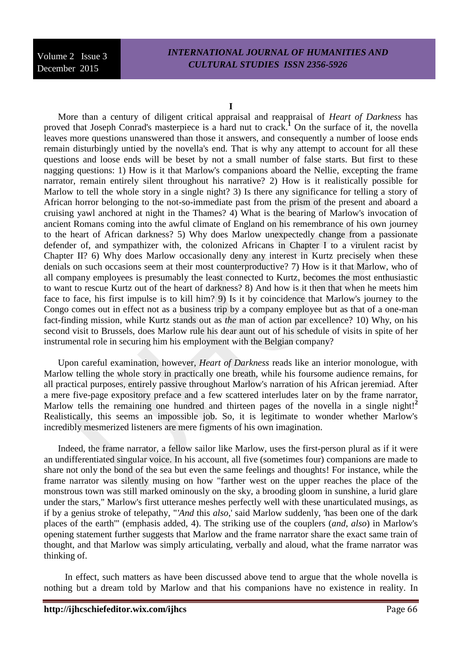## *INTERNATIONAL JOURNAL OF HUMANITIES AND CULTURAL STUDIES ISSN 2356-5926*

More than a century of diligent critical appraisal and reappraisal of *Heart of Darkness* has proved that Joseph Conrad's masterpiece is a hard nut to crack.<sup>1</sup> On the surface of it, the novella leaves more questions unanswered than those it answers, and consequently a number of loose ends remain disturbingly untied by the novella's end. That is why any attempt to account for all these questions and loose ends will be beset by not a small number of false starts. But first to these nagging questions: 1) How is it that Marlow's companions aboard the Nellie, excepting the frame narrator, remain entirely silent throughout his narrative? 2) How is it realistically possible for Marlow to tell the whole story in a single night? 3) Is there any significance for telling a story of African horror belonging to the not-so-immediate past from the prism of the present and aboard a cruising yawl anchored at night in the Thames? 4) What is the bearing of Marlow's invocation of ancient Romans coming into the awful climate of England on his remembrance of his own journey to the heart of African darkness? 5) Why does Marlow unexpectedly change from a passionate defender of, and sympathizer with, the colonized Africans in Chapter I to a virulent racist by Chapter II? 6) Why does Marlow occasionally deny any interest in Kurtz precisely when these denials on such occasions seem at their most counterproductive? 7) How is it that Marlow, who of all company employees is presumably the least connected to Kurtz, becomes the most enthusiastic to want to rescue Kurtz out of the heart of darkness? 8) And how is it then that when he meets him face to face, his first impulse is to kill him? 9) Is it by coincidence that Marlow's journey to the Congo comes out in effect not as a business trip by a company employee but as that of a one-man fact-finding mission, while Kurtz stands out as *the* man of action par excellence? 10) Why, on his second visit to Brussels, does Marlow rule his dear aunt out of his schedule of visits in spite of her instrumental role in securing him his employment with the Belgian company?

Upon careful examination, however, *Heart of Darkness* reads like an interior monologue, with Marlow telling the whole story in practically one breath, while his foursome audience remains, for all practical purposes, entirely passive throughout Marlow's narration of his African jeremiad. After a mere five-page expository preface and a few scattered interludes later on by the frame narrator, Marlow tells the remaining one hundred and thirteen pages of the novella in a single night!<sup>2</sup> Realistically, this seems an impossible job. So, it is legitimate to wonder whether Marlow's incredibly mesmerized listeners are mere figments of his own imagination.

Indeed, the frame narrator, a fellow sailor like Marlow, uses the first-person plural as if it were an undifferentiated singular voice. In his account, all five (sometimes four) companions are made to share not only the bond of the sea but even the same feelings and thoughts! For instance, while the frame narrator was silently musing on how "farther west on the upper reaches the place of the monstrous town was still marked ominously on the sky, a brooding gloom in sunshine, a lurid glare under the stars," Marlow's first utterance meshes perfectly well with these unarticulated musings, as if by a genius stroke of telepathy, "*'And* this *also*,' said Marlow suddenly, 'has been one of the dark places of the earth'" (emphasis added, 4). The striking use of the couplers (*and*, *also*) in Marlow's opening statement further suggests that Marlow and the frame narrator share the exact same train of thought, and that Marlow was simply articulating, verbally and aloud, what the frame narrator was thinking of.

In effect, such matters as have been discussed above tend to argue that the whole novella is nothing but a dream told by Marlow and that his companions have no existence in reality. In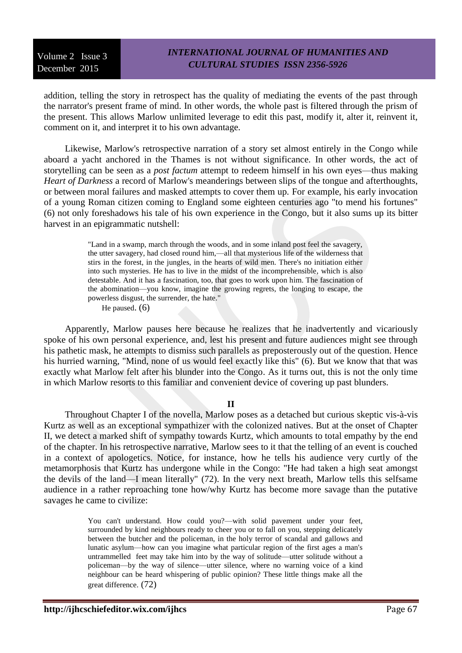addition, telling the story in retrospect has the quality of mediating the events of the past through the narrator's present frame of mind. In other words, the whole past is filtered through the prism of the present. This allows Marlow unlimited leverage to edit this past, modify it, alter it, reinvent it, comment on it, and interpret it to his own advantage.

Likewise, Marlow's retrospective narration of a story set almost entirely in the Congo while aboard a yacht anchored in the Thames is not without significance. In other words, the act of storytelling can be seen as a *post factum* attempt to redeem himself in his own eyes—thus making *Heart of Darkness* a record of Marlow's meanderings between slips of the tongue and afterthoughts, or between moral failures and masked attempts to cover them up. For example, his early invocation of a young Roman citizen coming to England some eighteen centuries ago "to mend his fortunes" (6) not only foreshadows his tale of his own experience in the Congo, but it also sums up its bitter harvest in an epigrammatic nutshell:

> "Land in a swamp, march through the woods, and in some inland post feel the savagery, the utter savagery, had closed round him,—all that mysterious life of the wilderness that stirs in the forest, in the jungles, in the hearts of wild men. There's no initiation either into such mysteries. He has to live in the midst of the incomprehensible, which is also detestable. And it has a fascination, too, that goes to work upon him. The fascination of the abomination—you know, imagine the growing regrets, the longing to escape, the powerless disgust, the surrender, the hate."

He paused. (6)

Apparently, Marlow pauses here because he realizes that he inadvertently and vicariously spoke of his own personal experience, and, lest his present and future audiences might see through his pathetic mask, he attempts to dismiss such parallels as preposterously out of the question. Hence his hurried warning, "Mind, none of us would feel exactly like this" (6). But we know that that was exactly what Marlow felt after his blunder into the Congo. As it turns out, this is not the only time in which Marlow resorts to this familiar and convenient device of covering up past blunders.

#### **II**

Throughout Chapter I of the novella, Marlow poses as a detached but curious skeptic vis-à-vis Kurtz as well as an exceptional sympathizer with the colonized natives. But at the onset of Chapter II, we detect a marked shift of sympathy towards Kurtz, which amounts to total empathy by the end of the chapter. In his retrospective narrative, Marlow sees to it that the telling of an event is couched in a context of apologetics. Notice, for instance, how he tells his audience very curtly of the metamorphosis that Kurtz has undergone while in the Congo: "He had taken a high seat amongst the devils of the land—I mean literally" (72). In the very next breath, Marlow tells this selfsame audience in a rather reproaching tone how/why Kurtz has become more savage than the putative savages he came to civilize:

> You can't understand. How could you?—with solid pavement under your feet, surrounded by kind neighbours ready to cheer you or to fall on you, stepping delicately between the butcher and the policeman, in the holy terror of scandal and gallows and lunatic asylum—how can you imagine what particular region of the first ages a man's untrammelled feet may take him into by the way of solitude—utter solitude without a policeman—by the way of silence—utter silence, where no warning voice of a kind neighbour can be heard whispering of public opinion? These little things make all the great difference. (72)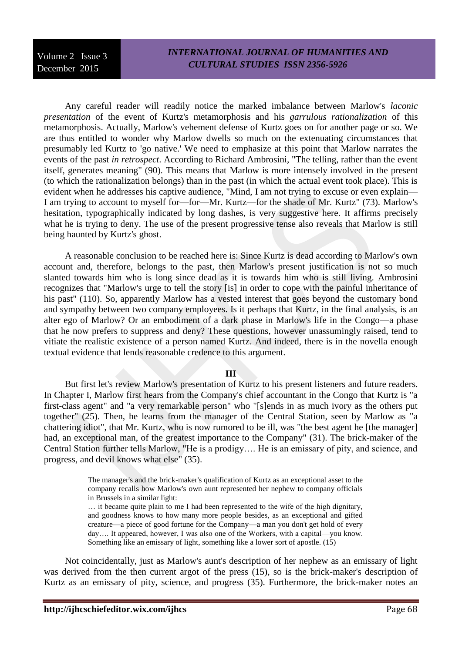Any careful reader will readily notice the marked imbalance between Marlow's *laconic presentation* of the event of Kurtz's metamorphosis and his *garrulous rationalization* of this metamorphosis. Actually, Marlow's vehement defense of Kurtz goes on for another page or so. We are thus entitled to wonder why Marlow dwells so much on the extenuating circumstances that presumably led Kurtz to 'go native.' We need to emphasize at this point that Marlow narrates the events of the past *in retrospect*. According to Richard Ambrosini, "The telling, rather than the event itself, generates meaning" (90). This means that Marlow is more intensely involved in the present (to which the rationalization belongs) than in the past (in which the actual event took place). This is evident when he addresses his captive audience, "Mind, I am not trying to excuse or even explain— I am trying to account to myself for—for—Mr. Kurtz—for the shade of Mr. Kurtz" (73). Marlow's hesitation, typographically indicated by long dashes, is very suggestive here. It affirms precisely what he is trying to deny. The use of the present progressive tense also reveals that Marlow is still being haunted by Kurtz's ghost.

A reasonable conclusion to be reached here is: Since Kurtz is dead according to Marlow's own account and, therefore, belongs to the past, then Marlow's present justification is not so much slanted towards him who is long since dead as it is towards him who is still living. Ambrosini recognizes that "Marlow's urge to tell the story [is] in order to cope with the painful inheritance of his past" (110). So, apparently Marlow has a vested interest that goes beyond the customary bond and sympathy between two company employees. Is it perhaps that Kurtz, in the final analysis, is an alter ego of Marlow? Or an embodiment of a dark phase in Marlow's life in the Congo—a phase that he now prefers to suppress and deny? These questions, however unassumingly raised, tend to vitiate the realistic existence of a person named Kurtz. And indeed, there is in the novella enough textual evidence that lends reasonable credence to this argument.

#### **III**

But first let's review Marlow's presentation of Kurtz to his present listeners and future readers. In Chapter I, Marlow first hears from the Company's chief accountant in the Congo that Kurtz is "a first-class agent" and "a very remarkable person" who "[s]ends in as much ivory as the others put together" (25). Then, he learns from the manager of the Central Station, seen by Marlow as "a chattering idiot", that Mr. Kurtz, who is now rumored to be ill, was "the best agent he [the manager] had, an exceptional man, of the greatest importance to the Company" (31). The brick-maker of the Central Station further tells Marlow, "He is a prodigy…. He is an emissary of pity, and science, and progress, and devil knows what else" (35).

> The manager's and the brick-maker's qualification of Kurtz as an exceptional asset to the company recalls how Marlow's own aunt represented her nephew to company officials in Brussels in a similar light:

> … it became quite plain to me I had been represented to the wife of the high dignitary, and goodness knows to how many more people besides, as an exceptional and gifted creature—a piece of good fortune for the Company—a man you don't get hold of every day…. It appeared, however, I was also one of the Workers, with a capital—you know. Something like an emissary of light, something like a lower sort of apostle. (15)

Not coincidentally, just as Marlow's aunt's description of her nephew as an emissary of light was derived from the then current argot of the press (15), so is the brick-maker's description of Kurtz as an emissary of pity, science, and progress (35). Furthermore, the brick-maker notes an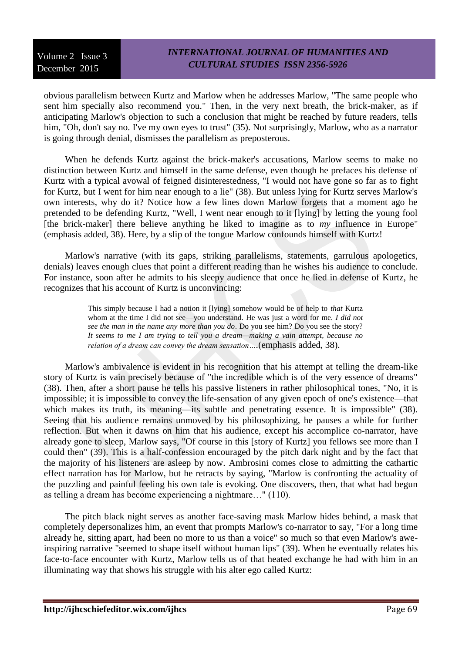obvious parallelism between Kurtz and Marlow when he addresses Marlow, "The same people who sent him specially also recommend you." Then, in the very next breath, the brick-maker, as if anticipating Marlow's objection to such a conclusion that might be reached by future readers, tells him, "Oh, don't say no. I've my own eyes to trust" (35). Not surprisingly, Marlow, who as a narrator is going through denial, dismisses the parallelism as preposterous.

When he defends Kurtz against the brick-maker's accusations, Marlow seems to make no distinction between Kurtz and himself in the same defense, even though he prefaces his defense of Kurtz with a typical avowal of feigned disinterestedness, "I would not have gone so far as to fight for Kurtz, but I went for him near enough to a lie" (38). But unless lying for Kurtz serves Marlow's own interests, why do it? Notice how a few lines down Marlow forgets that a moment ago he pretended to be defending Kurtz, "Well, I went near enough to it [lying] by letting the young fool [the brick-maker] there believe anything he liked to imagine as to *my* influence in Europe" (emphasis added, 38). Here, by a slip of the tongue Marlow confounds himself with Kurtz!

Marlow's narrative (with its gaps, striking parallelisms, statements, garrulous apologetics, denials) leaves enough clues that point a different reading than he wishes his audience to conclude. For instance, soon after he admits to his sleepy audience that once he lied in defense of Kurtz, he recognizes that his account of Kurtz is unconvincing:

> This simply because I had a notion it [lying] somehow would be of help to *that* Kurtz whom at the time I did not see—you understand. He was just a word for me. *I did not see the man in the name any more than you do*. Do you see him? Do you see the story? *It seems to me I am trying to tell you a dream—making a vain attempt, because no relation of a dream can convey the dream sensation….*(emphasis added, 38).

Marlow's ambivalence is evident in his recognition that his attempt at telling the dream-like story of Kurtz is vain precisely because of "the incredible which is of the very essence of dreams" (38). Then, after a short pause he tells his passive listeners in rather philosophical tones, "No, it is impossible; it is impossible to convey the life-sensation of any given epoch of one's existence—that which makes its truth, its meaning—its subtle and penetrating essence. It is impossible" (38). Seeing that his audience remains unmoved by his philosophizing, he pauses a while for further reflection. But when it dawns on him that his audience, except his accomplice co-narrator, have already gone to sleep, Marlow says, "Of course in this [story of Kurtz] you fellows see more than I could then" (39). This is a half-confession encouraged by the pitch dark night and by the fact that the majority of his listeners are asleep by now. Ambrosini comes close to admitting the cathartic effect narration has for Marlow, but he retracts by saying, "Marlow is confronting the actuality of the puzzling and painful feeling his own tale is evoking. One discovers, then, that what had begun as telling a dream has become experiencing a nightmare…" (110).

The pitch black night serves as another face-saving mask Marlow hides behind, a mask that completely depersonalizes him, an event that prompts Marlow's co-narrator to say, "For a long time already he, sitting apart, had been no more to us than a voice" so much so that even Marlow's aweinspiring narrative "seemed to shape itself without human lips" (39). When he eventually relates his face-to-face encounter with Kurtz, Marlow tells us of that heated exchange he had with him in an illuminating way that shows his struggle with his alter ego called Kurtz: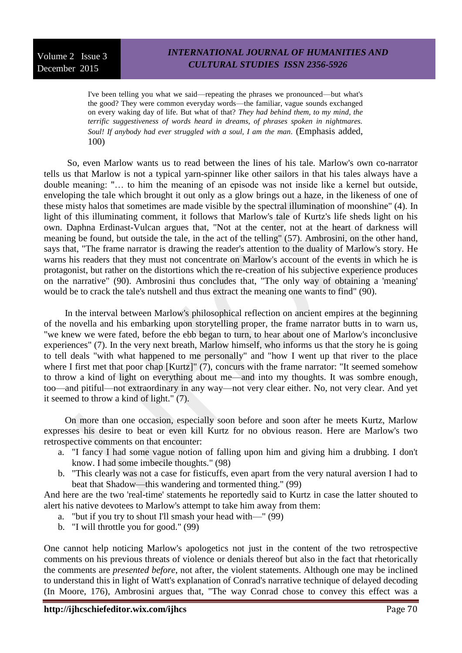I've been telling you what we said—repeating the phrases we pronounced—but what's the good? They were common everyday words—the familiar, vague sounds exchanged on every waking day of life. But what of that? *They had behind them, to my mind, the terrific suggestiveness of words heard in dreams, of phrases spoken in nightmares. Soul! If anybody had ever struggled with a soul, I am the man*. (Emphasis added, 100)

So, even Marlow wants us to read between the lines of his tale. Marlow's own co-narrator tells us that Marlow is not a typical yarn-spinner like other sailors in that his tales always have a double meaning: "… to him the meaning of an episode was not inside like a kernel but outside, enveloping the tale which brought it out only as a glow brings out a haze, in the likeness of one of these misty halos that sometimes are made visible by the spectral illumination of moonshine" (4). In light of this illuminating comment, it follows that Marlow's tale of Kurtz's life sheds light on his own. Daphna Erdinast-Vulcan argues that, "Not at the center, not at the heart of darkness will meaning be found, but outside the tale, in the act of the telling" (57). Ambrosini, on the other hand, says that, "The frame narrator is drawing the reader's attention to the duality of Marlow's story. He warns his readers that they must not concentrate on Marlow's account of the events in which he is protagonist, but rather on the distortions which the re-creation of his subjective experience produces on the narrative" (90). Ambrosini thus concludes that, "The only way of obtaining a 'meaning' would be to crack the tale's nutshell and thus extract the meaning one wants to find" (90).

In the interval between Marlow's philosophical reflection on ancient empires at the beginning of the novella and his embarking upon storytelling proper, the frame narrator butts in to warn us, "we knew we were fated, before the ebb began to turn, to hear about one of Marlow's inconclusive experiences" (7). In the very next breath, Marlow himself, who informs us that the story he is going to tell deals "with what happened to me personally" and "how I went up that river to the place where I first met that poor chap [Kurtz]" (7), concurs with the frame narrator: "It seemed somehow to throw a kind of light on everything about me—and into my thoughts. It was sombre enough, too—and pitiful—not extraordinary in any way—not very clear either. No, not very clear. And yet it seemed to throw a kind of light." (7).

On more than one occasion, especially soon before and soon after he meets Kurtz, Marlow expresses his desire to beat or even kill Kurtz for no obvious reason. Here are Marlow's two retrospective comments on that encounter:

- a. "I fancy I had some vague notion of falling upon him and giving him a drubbing. I don't know. I had some imbecile thoughts." (98)
- b. "This clearly was not a case for fisticuffs, even apart from the very natural aversion I had to beat that Shadow—this wandering and tormented thing." (99)

And here are the two 'real-time' statements he reportedly said to Kurtz in case the latter shouted to alert his native devotees to Marlow's attempt to take him away from them:

- a. "but if you try to shout I'll smash your head with—" (99)
- b. "I will throttle you for good." (99)

One cannot help noticing Marlow's apologetics not just in the content of the two retrospective comments on his previous threats of violence or denials thereof but also in the fact that rhetorically the comments are *presented before*, not after, the violent statements. Although one may be inclined to understand this in light of Watt's explanation of Conrad's narrative technique of delayed decoding (In Moore, 176), Ambrosini argues that, "The way Conrad chose to convey this effect was a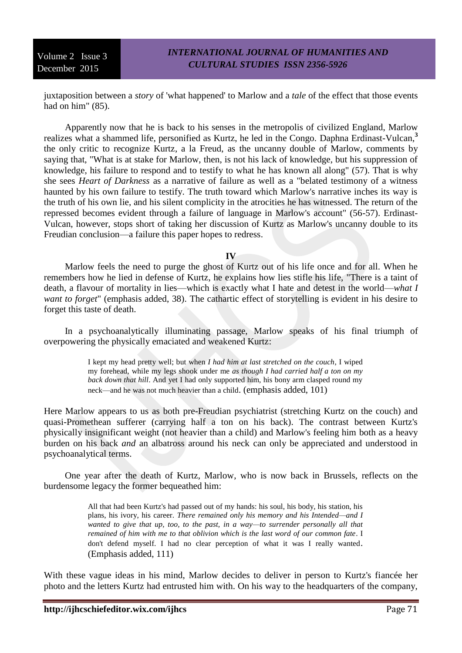juxtaposition between a *story* of 'what happened' to Marlow and a *tale* of the effect that those events had on him" (85).

Apparently now that he is back to his senses in the metropolis of civilized England, Marlow realizes what a shammed life, personified as Kurtz, he led in the Congo. Daphna Erdinast-Vulcan,**<sup>3</sup>** the only critic to recognize Kurtz, a la Freud, as the uncanny double of Marlow, comments by saying that, "What is at stake for Marlow, then, is not his lack of knowledge, but his suppression of knowledge, his failure to respond and to testify to what he has known all along" (57). That is why she sees *Heart of Darkness* as a narrative of failure as well as a "belated testimony of a witness haunted by his own failure to testify. The truth toward which Marlow's narrative inches its way is the truth of his own lie, and his silent complicity in the atrocities he has witnessed. The return of the repressed becomes evident through a failure of language in Marlow's account" (56-57). Erdinast-Vulcan, however, stops short of taking her discussion of Kurtz as Marlow's uncanny double to its Freudian conclusion—a failure this paper hopes to redress.

**IV**

Marlow feels the need to purge the ghost of Kurtz out of his life once and for all. When he remembers how he lied in defense of Kurtz, he explains how lies stifle his life, "There is a taint of death, a flavour of mortality in lies—which is exactly what I hate and detest in the world—*what I want to forget*" (emphasis added, 38). The cathartic effect of storytelling is evident in his desire to forget this taste of death.

In a psychoanalytically illuminating passage, Marlow speaks of his final triumph of overpowering the physically emaciated and weakened Kurtz:

> I kept my head pretty well; but when *I had him at last stretched on the couch*, I wiped my forehead, while my legs shook under me *as though I had carried half a ton on my back down that hill*. And yet I had only supported him, his bony arm clasped round my neck—and he was not much heavier than a child. (emphasis added, 101)

Here Marlow appears to us as both pre-Freudian psychiatrist (stretching Kurtz on the couch) and quasi-Promethean sufferer (carrying half a ton on his back). The contrast between Kurtz's physically insignificant weight (not heavier than a child) and Marlow's feeling him both as a heavy burden on his back *and* an albatross around his neck can only be appreciated and understood in psychoanalytical terms.

One year after the death of Kurtz, Marlow, who is now back in Brussels, reflects on the burdensome legacy the former bequeathed him:

> All that had been Kurtz's had passed out of my hands: his soul, his body, his station, his plans, his ivory, his career. *There remained only his memory and his Intended—and I wanted to give that up, too, to the past, in a way—to surrender personally all that remained of him with me to that oblivion which is the last word of our common fate*. I don't defend myself. I had no clear perception of what it was I really wanted. (Emphasis added, 111)

With these vague ideas in his mind, Marlow decides to deliver in person to Kurtz's fiancée her photo and the letters Kurtz had entrusted him with. On his way to the headquarters of the company,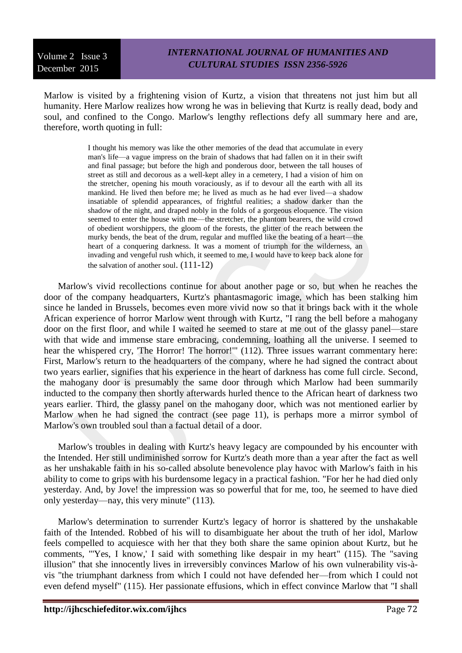Marlow is visited by a frightening vision of Kurtz, a vision that threatens not just him but all humanity. Here Marlow realizes how wrong he was in believing that Kurtz is really dead, body and soul, and confined to the Congo. Marlow's lengthy reflections defy all summary here and are, therefore, worth quoting in full:

> I thought his memory was like the other memories of the dead that accumulate in every man's life—a vague impress on the brain of shadows that had fallen on it in their swift and final passage; but before the high and ponderous door, between the tall houses of street as still and decorous as a well-kept alley in a cemetery, I had a vision of him on the stretcher, opening his mouth voraciously, as if to devour all the earth with all its mankind. He lived then before me; he lived as much as he had ever lived—a shadow insatiable of splendid appearances, of frightful realities; a shadow darker than the shadow of the night, and draped nobly in the folds of a gorgeous eloquence. The vision seemed to enter the house with me—the stretcher, the phantom bearers, the wild crowd of obedient worshippers, the gloom of the forests, the glitter of the reach between the murky bends, the beat of the drum, regular and muffled like the beating of a heart—the heart of a conquering darkness. It was a moment of triumph for the wilderness, an invading and vengeful rush which, it seemed to me, I would have to keep back alone for the salvation of another soul.  $(111-12)$

Marlow's vivid recollections continue for about another page or so, but when he reaches the door of the company headquarters, Kurtz's phantasmagoric image, which has been stalking him since he landed in Brussels, becomes even more vivid now so that it brings back with it the whole African experience of horror Marlow went through with Kurtz, "I rang the bell before a mahogany door on the first floor, and while I waited he seemed to stare at me out of the glassy panel—stare with that wide and immense stare embracing, condemning, loathing all the universe. I seemed to hear the whispered cry, 'The Horror! The horror!'" (112). Three issues warrant commentary here: First, Marlow's return to the headquarters of the company, where he had signed the contract about two years earlier, signifies that his experience in the heart of darkness has come full circle. Second, the mahogany door is presumably the same door through which Marlow had been summarily inducted to the company then shortly afterwards hurled thence to the African heart of darkness two years earlier. Third, the glassy panel on the mahogany door, which was not mentioned earlier by Marlow when he had signed the contract (see page 11), is perhaps more a mirror symbol of Marlow's own troubled soul than a factual detail of a door.

Marlow's troubles in dealing with Kurtz's heavy legacy are compounded by his encounter with the Intended. Her still undiminished sorrow for Kurtz's death more than a year after the fact as well as her unshakable faith in his so-called absolute benevolence play havoc with Marlow's faith in his ability to come to grips with his burdensome legacy in a practical fashion. "For her he had died only yesterday. And, by Jove! the impression was so powerful that for me, too, he seemed to have died only yesterday—nay, this very minute" (113).

Marlow's determination to surrender Kurtz's legacy of horror is shattered by the unshakable faith of the Intended. Robbed of his will to disambiguate her about the truth of her idol, Marlow feels compelled to acquiesce with her that they both share the same opinion about Kurtz, but he comments, "'Yes, I know,' I said with something like despair in my heart" (115). The "saving illusion" that she innocently lives in irreversibly convinces Marlow of his own vulnerability vis-àvis "the triumphant darkness from which I could not have defended her—from which I could not even defend myself" (115). Her passionate effusions, which in effect convince Marlow that "I shall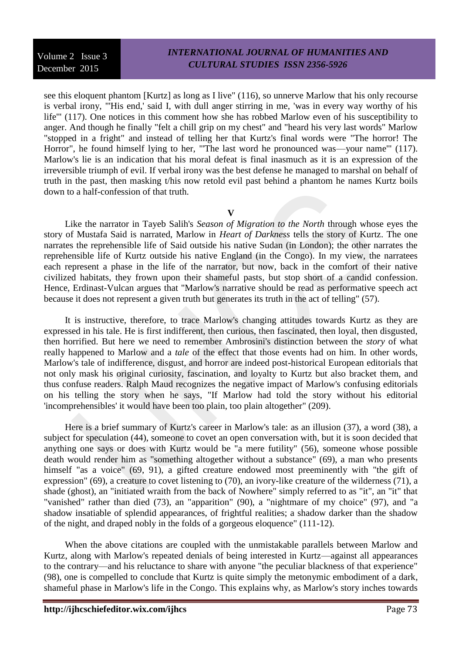see this eloquent phantom [Kurtz] as long as I live" (116), so unnerve Marlow that his only recourse is verbal irony, "'His end,' said I, with dull anger stirring in me, 'was in every way worthy of his life'" (117). One notices in this comment how she has robbed Marlow even of his susceptibility to anger. And though he finally "felt a chill grip on my chest" and "heard his very last words" Marlow "stopped in a fright" and instead of telling her that Kurtz's final words were "The horror! The Horror", he found himself lying to her, "'The last word he pronounced was—your name'" (117). Marlow's lie is an indication that his moral defeat is final inasmuch as it is an expression of the irreversible triumph of evil. If verbal irony was the best defense he managed to marshal on behalf of truth in the past, then masking t/his now retold evil past behind a phantom he names Kurtz boils down to a half-confession of that truth.

**V**

Like the narrator in Tayeb Salih's *Season of Migration to the North* through whose eyes the story of Mustafa Said is narrated, Marlow in *Heart of Darkness* tells the story of Kurtz. The one narrates the reprehensible life of Said outside his native Sudan (in London); the other narrates the reprehensible life of Kurtz outside his native England (in the Congo). In my view, the narratees each represent a phase in the life of the narrator, but now, back in the comfort of their native civilized habitats, they frown upon their shameful pasts, but stop short of a candid confession. Hence, Erdinast-Vulcan argues that "Marlow's narrative should be read as performative speech act because it does not represent a given truth but generates its truth in the act of telling" (57).

It is instructive, therefore, to trace Marlow's changing attitudes towards Kurtz as they are expressed in his tale. He is first indifferent, then curious, then fascinated, then loyal, then disgusted, then horrified. But here we need to remember Ambrosini's distinction between the *story* of what really happened to Marlow and a *tale* of the effect that those events had on him. In other words, Marlow's tale of indifference, disgust, and horror are indeed post-historical European editorials that not only mask his original curiosity, fascination, and loyalty to Kurtz but also bracket them, and thus confuse readers. Ralph Maud recognizes the negative impact of Marlow's confusing editorials on his telling the story when he says, "If Marlow had told the story without his editorial 'incomprehensibles' it would have been too plain, too plain altogether" (209).

Here is a brief summary of Kurtz's career in Marlow's tale: as an illusion (37), a word (38), a subject for speculation (44), someone to covet an open conversation with, but it is soon decided that anything one says or does with Kurtz would be "a mere futility" (56), someone whose possible death would render him as "something altogether without a substance" (69), a man who presents himself "as a voice" (69, 91), a gifted creature endowed most preeminently with "the gift of expression" (69), a creature to covet listening to (70), an ivory-like creature of the wilderness (71), a shade (ghost), an "initiated wraith from the back of Nowhere" simply referred to as "it", an "it" that "vanished" rather than died (73), an "apparition" (90), a "nightmare of my choice" (97), and "a shadow insatiable of splendid appearances, of frightful realities; a shadow darker than the shadow of the night, and draped nobly in the folds of a gorgeous eloquence" (111-12).

When the above citations are coupled with the unmistakable parallels between Marlow and Kurtz, along with Marlow's repeated denials of being interested in Kurtz—against all appearances to the contrary—and his reluctance to share with anyone "the peculiar blackness of that experience" (98), one is compelled to conclude that Kurtz is quite simply the metonymic embodiment of a dark, shameful phase in Marlow's life in the Congo. This explains why, as Marlow's story inches towards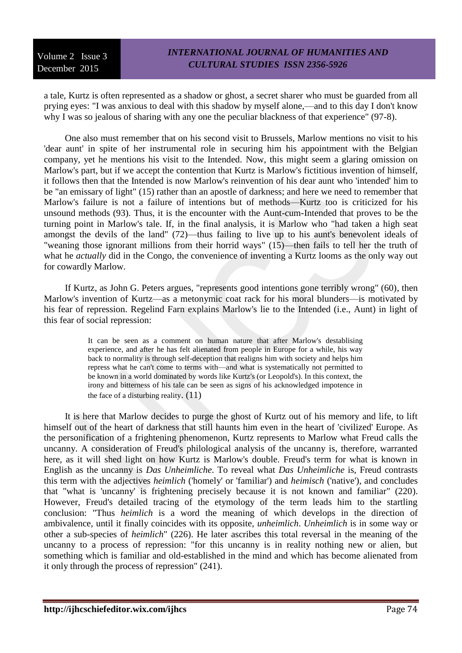a tale, Kurtz is often represented as a shadow or ghost, a secret sharer who must be guarded from all prying eyes: "I was anxious to deal with this shadow by myself alone,—and to this day I don't know why I was so jealous of sharing with any one the peculiar blackness of that experience" (97-8).

One also must remember that on his second visit to Brussels, Marlow mentions no visit to his 'dear aunt' in spite of her instrumental role in securing him his appointment with the Belgian company, yet he mentions his visit to the Intended. Now, this might seem a glaring omission on Marlow's part, but if we accept the contention that Kurtz is Marlow's fictitious invention of himself, it follows then that the Intended is now Marlow's reinvention of his dear aunt who 'intended' him to be "an emissary of light" (15) rather than an apostle of darkness; and here we need to remember that Marlow's failure is not a failure of intentions but of methods—Kurtz too is criticized for his unsound methods (93). Thus, it is the encounter with the Aunt-cum-Intended that proves to be the turning point in Marlow's tale. If, in the final analysis, it is Marlow who "had taken a high seat amongst the devils of the land" (72)—thus failing to live up to his aunt's benevolent ideals of "weaning those ignorant millions from their horrid ways" (15)—then fails to tell her the truth of what he *actually* did in the Congo, the convenience of inventing a Kurtz looms as the only way out for cowardly Marlow.

If Kurtz, as John G. Peters argues, "represents good intentions gone terribly wrong" (60), then Marlow's invention of Kurtz—as a metonymic coat rack for his moral blunders—is motivated by his fear of repression. Regelind Farn explains Marlow's lie to the Intended (i.e., Aunt) in light of this fear of social repression:

> It can be seen as a comment on human nature that after Marlow's destablising experience, and after he has felt alienated from people in Europe for a while, his way back to normality is through self-deception that realigns him with society and helps him repress what he can't come to terms with—and what is systematically not permitted to be known in a world dominated by words like Kurtz's (or Leopold's). In this context, the irony and bitterness of his tale can be seen as signs of his acknowledged impotence in the face of a disturbing reality.  $(11)$

It is here that Marlow decides to purge the ghost of Kurtz out of his memory and life, to lift himself out of the heart of darkness that still haunts him even in the heart of 'civilized' Europe. As the personification of a frightening phenomenon, Kurtz represents to Marlow what Freud calls the uncanny. A consideration of Freud's philological analysis of the uncanny is, therefore, warranted here, as it will shed light on how Kurtz is Marlow's double. Freud's term for what is known in English as the uncanny is *Das Unheimliche*. To reveal what *Das Unheimliche* is, Freud contrasts this term with the adjectives *heimlich* ('homely' or 'familiar') and *heimisch* ('native'), and concludes that "what is 'uncanny' is frightening precisely because it is not known and familiar" (220). However, Freud's detailed tracing of the etymology of the term leads him to the startling conclusion: "Thus *heimlich* is a word the meaning of which develops in the direction of ambivalence, until it finally coincides with its opposite, *unheimlich*. *Unheimlich* is in some way or other a sub-species of *heimlich*" (226). He later ascribes this total reversal in the meaning of the uncanny to a process of repression: "for this uncanny is in reality nothing new or alien, but something which is familiar and old-established in the mind and which has become alienated from it only through the process of repression" (241).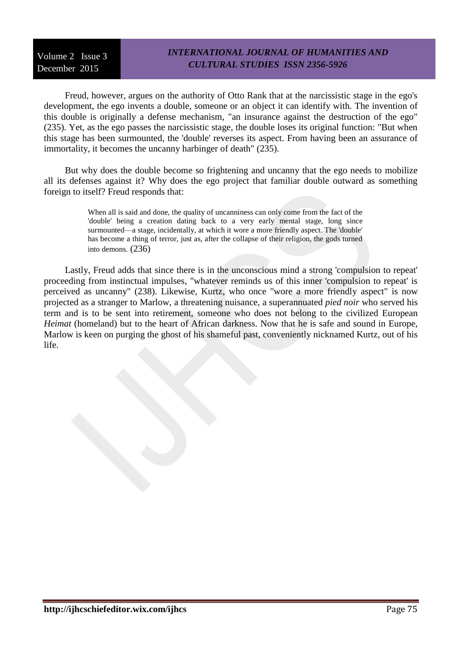Freud, however, argues on the authority of Otto Rank that at the narcissistic stage in the ego's development, the ego invents a double, someone or an object it can identify with. The invention of this double is originally a defense mechanism, "an insurance against the destruction of the ego" (235). Yet, as the ego passes the narcissistic stage, the double loses its original function: "But when this stage has been surmounted, the 'double' reverses its aspect. From having been an assurance of immortality, it becomes the uncanny harbinger of death" (235).

But why does the double become so frightening and uncanny that the ego needs to mobilize all its defenses against it? Why does the ego project that familiar double outward as something foreign to itself? Freud responds that:

> When all is said and done, the quality of uncanniness can only come from the fact of the 'double' being a creation dating back to a very early mental stage, long since surmounted—a stage, incidentally, at which it wore a more friendly aspect. The 'double' has become a thing of terror, just as, after the collapse of their religion, the gods turned into demons. (236)

Lastly, Freud adds that since there is in the unconscious mind a strong 'compulsion to repeat' proceeding from instinctual impulses, "whatever reminds us of this inner 'compulsion to repeat' is perceived as uncanny" (238). Likewise, Kurtz, who once "wore a more friendly aspect" is now projected as a stranger to Marlow, a threatening nuisance, a superannuated *pied noir* who served his term and is to be sent into retirement, someone who does not belong to the civilized European *Heimat* (homeland) but to the heart of African darkness. Now that he is safe and sound in Europe, Marlow is keen on purging the ghost of his shameful past, conveniently nicknamed Kurtz, out of his life.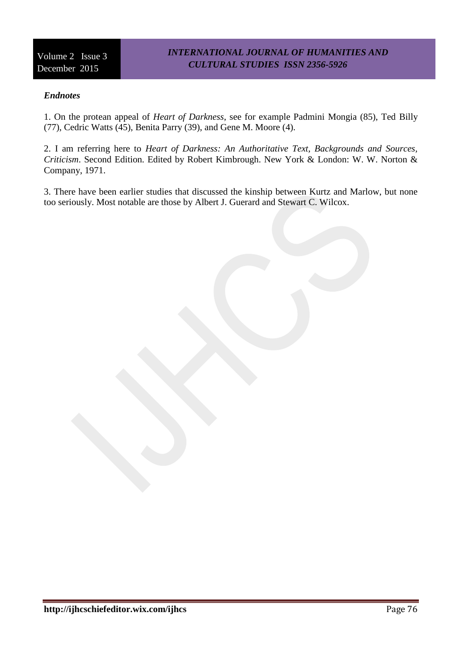### *Endnotes*

1. On the protean appeal of *Heart of Darkness*, see for example Padmini Mongia (85), Ted Billy (77), Cedric Watts (45), Benita Parry (39), and Gene M. Moore (4).

2. I am referring here to *Heart of Darkness: An Authoritative Text, Backgrounds and Sources, Criticism*. Second Edition. Edited by Robert Kimbrough. New York & London: W. W. Norton & Company, 1971.

3. There have been earlier studies that discussed the kinship between Kurtz and Marlow, but none too seriously. Most notable are those by Albert J. Guerard and Stewart C. Wilcox.

**http://ijhcschiefeditor.wix.com/ijhcs** Page 76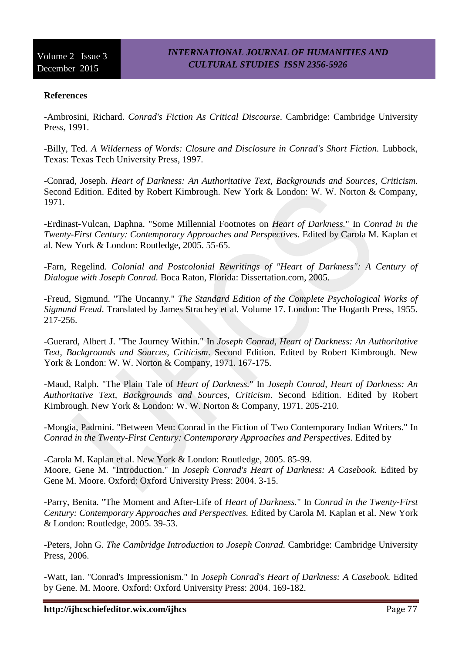### **References**

-Ambrosini, Richard. *Conrad's Fiction As Critical Discourse*. Cambridge: Cambridge University Press, 1991.

-Billy, Ted. A Wilderness of Words: Closure and Disclosure in Conrad's Short Fiction. Lubbock, Texas: Texas Tech University Press, 1997.

-Conrad, Joseph. *Heart of Darkness: An Authoritative Text, Backgrounds and Sources, Criticism*. Second Edition. Edited by Robert Kimbrough. New York & London: W. W. Norton & Company, 1971.

-Erdinast-Vulcan, Daphna. "Some Millennial Footnotes on *Heart of Darkness.*" In *Conrad in the Twenty-First Century: Contemporary Approaches and Perspectives.* Edited by Carola M. Kaplan et al. New York & London: Routledge, 2005. 55-65.

-Farn, Regelind. *Colonial and Postcolonial Rewritings of "Heart of Darkness": A Century of Dialogue with Joseph Conrad.* Boca Raton, Florida: Dissertation.com, 2005.

-Freud, Sigmund. "The Uncanny." *The Standard Edition of the Complete Psychological Works of Sigmund Freud*. Translated by James Strachey et al. Volume 17. London: The Hogarth Press, 1955. 217-256.

-Guerard, Albert J. "The Journey Within." In *Joseph Conrad, Heart of Darkness: An Authoritative Text, Backgrounds and Sources, Criticism*. Second Edition. Edited by Robert Kimbrough. New York & London: W. W. Norton & Company, 1971. 167-175.

-Maud, Ralph. "The Plain Tale of *Heart of Darkness.*" In *Joseph Conrad, Heart of Darkness: An Authoritative Text, Backgrounds and Sources, Criticism*. Second Edition. Edited by Robert Kimbrough. New York & London: W. W. Norton & Company, 1971. 205-210.

-Mongia, Padmini. "Between Men: Conrad in the Fiction of Two Contemporary Indian Writers." In *Conrad in the Twenty-First Century: Contemporary Approaches and Perspectives.* Edited by

-Carola M. Kaplan et al. New York & London: Routledge, 2005. 85-99. Moore, Gene M. "Introduction." In *Joseph Conrad's Heart of Darkness: A Casebook.* Edited by Gene M. Moore. Oxford: Oxford University Press: 2004. 3-15.

-Parry, Benita. "The Moment and After-Life of *Heart of Darkness.*" In *Conrad in the Twenty-First Century: Contemporary Approaches and Perspectives.* Edited by Carola M. Kaplan et al. New York & London: Routledge, 2005. 39-53.

-Peters, John G. *The Cambridge Introduction to Joseph Conrad.* Cambridge: Cambridge University Press, 2006.

-Watt, Ian. "Conrad's Impressionism." In *Joseph Conrad's Heart of Darkness: A Casebook.* Edited by Gene. M. Moore. Oxford: Oxford University Press: 2004. 169-182.